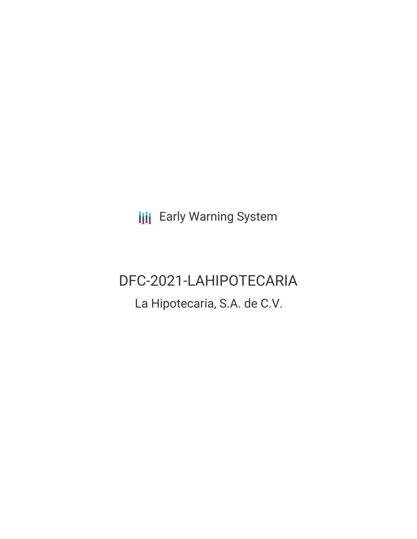**III** Early Warning System

# DFC-2021-LAHIPOTECARIA

La Hipotecaria, S.A. de C.V.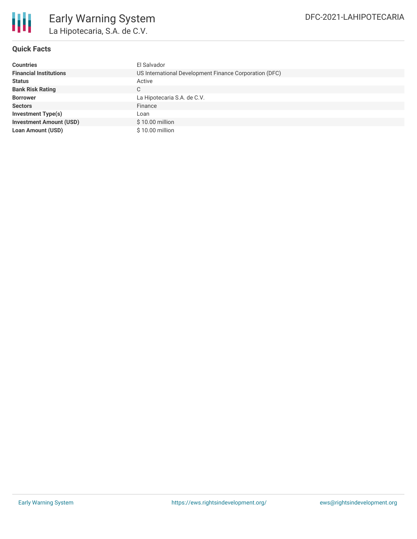

## **Quick Facts**

| <b>Countries</b>               | El Salvador                                            |
|--------------------------------|--------------------------------------------------------|
| <b>Financial Institutions</b>  | US International Development Finance Corporation (DFC) |
| <b>Status</b>                  | Active                                                 |
| <b>Bank Risk Rating</b>        | С                                                      |
| <b>Borrower</b>                | La Hipotecaria S.A. de C.V.                            |
| <b>Sectors</b>                 | Finance                                                |
| <b>Investment Type(s)</b>      | Loan                                                   |
| <b>Investment Amount (USD)</b> | \$10.00 million                                        |
| <b>Loan Amount (USD)</b>       | \$10.00 million                                        |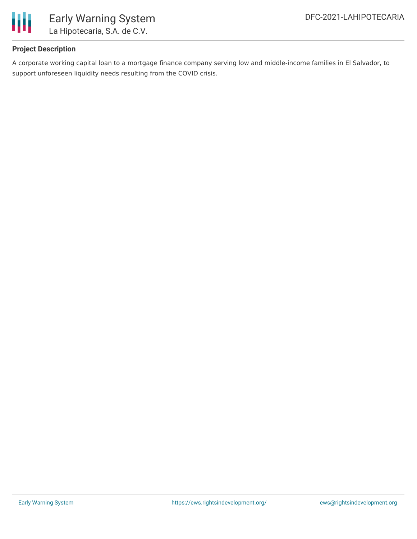

# **Project Description**

A corporate working capital loan to a mortgage finance company serving low and middle-income families in El Salvador, to support unforeseen liquidity needs resulting from the COVID crisis.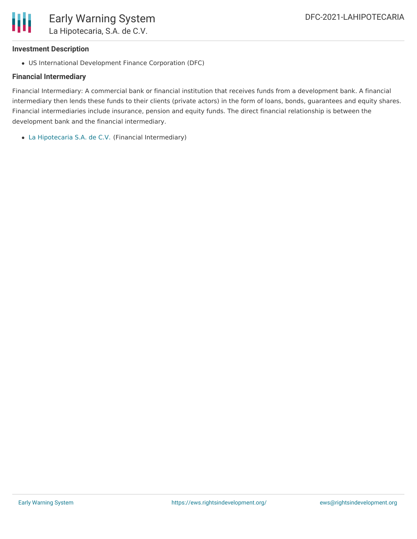

#### **Investment Description**

US International Development Finance Corporation (DFC)

### **Financial Intermediary**

Financial Intermediary: A commercial bank or financial institution that receives funds from a development bank. A financial intermediary then lends these funds to their clients (private actors) in the form of loans, bonds, guarantees and equity shares. Financial intermediaries include insurance, pension and equity funds. The direct financial relationship is between the development bank and the financial intermediary.

La [Hipotecaria](file:///actor/3828/) S.A. de C.V. (Financial Intermediary)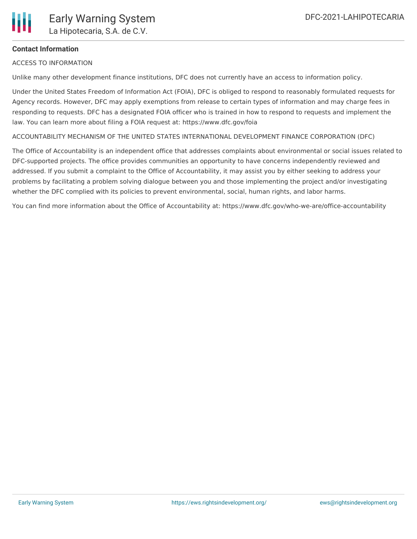# **Contact Information**

ACCESS TO INFORMATION

Unlike many other development finance institutions, DFC does not currently have an access to information policy.

Under the United States Freedom of Information Act (FOIA), DFC is obliged to respond to reasonably formulated requests for Agency records. However, DFC may apply exemptions from release to certain types of information and may charge fees in responding to requests. DFC has a designated FOIA officer who is trained in how to respond to requests and implement the law. You can learn more about filing a FOIA request at: https://www.dfc.gov/foia

ACCOUNTABILITY MECHANISM OF THE UNITED STATES INTERNATIONAL DEVELOPMENT FINANCE CORPORATION (DFC)

The Office of Accountability is an independent office that addresses complaints about environmental or social issues related to DFC-supported projects. The office provides communities an opportunity to have concerns independently reviewed and addressed. If you submit a complaint to the Office of Accountability, it may assist you by either seeking to address your problems by facilitating a problem solving dialogue between you and those implementing the project and/or investigating whether the DFC complied with its policies to prevent environmental, social, human rights, and labor harms.

You can find more information about the Office of Accountability at: https://www.dfc.gov/who-we-are/office-accountability